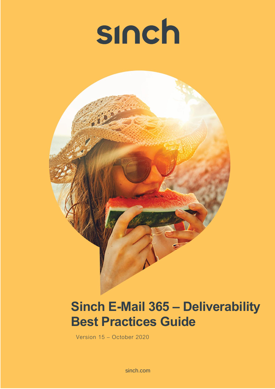



# **Sinch E-Mail 365 – Deliverability Best Practices Guide**

Version 15 – October 2020

sinch.com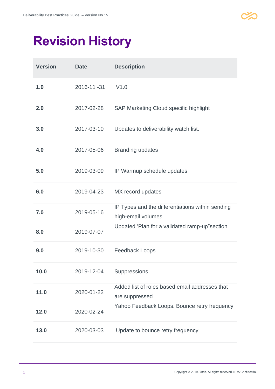

# **Revision History**

| <b>Version</b> | <b>Date</b> | <b>Description</b>                                                     |
|----------------|-------------|------------------------------------------------------------------------|
| 1.0            | 2016-11-31  | V1.0                                                                   |
| 2.0            | 2017-02-28  | <b>SAP Marketing Cloud specific highlight</b>                          |
| 3.0            | 2017-03-10  | Updates to deliverability watch list.                                  |
| 4.0            | 2017-05-06  | <b>Branding updates</b>                                                |
| 5.0            | 2019-03-09  | IP Warmup schedule updates                                             |
| 6.0            | 2019-04-23  | MX record updates                                                      |
| 7.0            | 2019-05-16  | IP Types and the differentiations within sending<br>high-email volumes |
| 8.0            | 2019-07-07  | Updated 'Plan for a validated ramp-up" section                         |
| 9.0            | 2019-10-30  | <b>Feedback Loops</b>                                                  |
| 10.0           | 2019-12-04  | Suppressions                                                           |
| 11.0           | 2020-01-22  | Added list of roles based email addresses that<br>are suppressed       |
| 12.0           | 2020-02-24  | Yahoo Feedback Loops. Bounce retry frequency                           |
| 13.0           | 2020-03-03  | Update to bounce retry frequency                                       |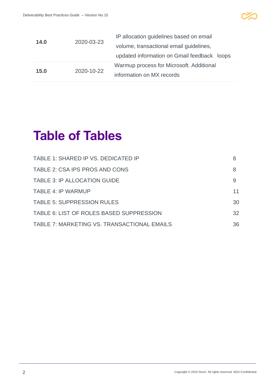

| 14.0 | 2020-03-23 | IP allocation guidelines based on email<br>volume, transactional email guidelines,<br>updated information on Gmail feedback loops |
|------|------------|-----------------------------------------------------------------------------------------------------------------------------------|
| 15.0 | 2020-10-22 | Warmup process for Microsoft. Additional                                                                                          |
|      |            | information on MX records                                                                                                         |

# **Table of Tables**

| TABLE 1: SHARED IP VS. DEDICATED IP         |    |
|---------------------------------------------|----|
| TABLE 2: CSA IPS PROS AND CONS              | 8  |
| <b>TABLE 3: IP ALLOCATION GUIDE</b>         | 9  |
| <b>TABLE 4: IP WARMUP</b>                   | 11 |
| <b>TABLE 5: SUPPRESSION RULES</b>           | 30 |
| TABLE 6: LIST OF ROLES BASED SUPPRESSION    | 32 |
| TABLE 7: MARKETING VS. TRANSACTIONAL EMAILS | 36 |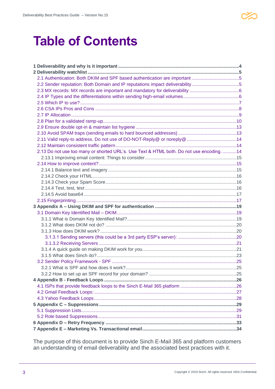

## **Table of Contents**

| 2.2 Sender reputation: Both Domain and IP reputations impact deliverability 5            |  |
|------------------------------------------------------------------------------------------|--|
|                                                                                          |  |
|                                                                                          |  |
|                                                                                          |  |
|                                                                                          |  |
|                                                                                          |  |
|                                                                                          |  |
|                                                                                          |  |
|                                                                                          |  |
|                                                                                          |  |
|                                                                                          |  |
| 2.13 Do not use too many or shorted URL's. Use Text & HTML both. Do not use encoding. 14 |  |
|                                                                                          |  |
|                                                                                          |  |
|                                                                                          |  |
|                                                                                          |  |
|                                                                                          |  |
|                                                                                          |  |
|                                                                                          |  |
|                                                                                          |  |
|                                                                                          |  |
|                                                                                          |  |
|                                                                                          |  |
|                                                                                          |  |
|                                                                                          |  |
|                                                                                          |  |
|                                                                                          |  |
|                                                                                          |  |
|                                                                                          |  |
|                                                                                          |  |
| 3.2.1 What is SPF and how does it work?                                                  |  |
|                                                                                          |  |
|                                                                                          |  |
|                                                                                          |  |
|                                                                                          |  |
|                                                                                          |  |
|                                                                                          |  |
|                                                                                          |  |
|                                                                                          |  |
|                                                                                          |  |
|                                                                                          |  |

The purpose of this document is to provide Sinch E-Mail 365 and platform customers an understanding of email deliverability and the associated best practices with it.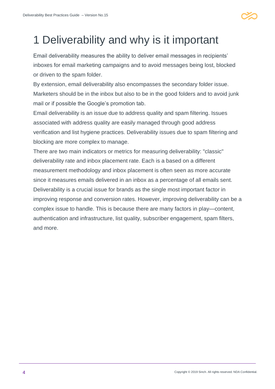

## <span id="page-4-0"></span>1 Deliverability and why is it important

Email deliverability measures the ability to deliver email messages in recipients' inboxes for email marketing campaigns and to avoid messages being lost, blocked or driven to the spam folder.

By extension, email deliverability also encompasses the secondary folder issue. Marketers should be in the inbox but also to be in the good folders and to avoid junk mail or if possible the Google's promotion tab.

Email deliverability is an issue due to address quality and spam filtering. Issues associated with address quality are easily managed through good address verification and list hygiene practices. Deliverability issues due to spam filtering and blocking are more complex to manage.

There are two main indicators or metrics for measuring deliverability: "classic" deliverability rate and inbox placement rate. Each is a based on a different measurement methodology and inbox placement is often seen as more accurate since it measures emails delivered in an inbox as a percentage of all emails sent. Deliverability is a crucial issue for brands as the single most important factor in improving response and conversion rates. However, improving deliverability can be a complex issue to handle. This is because there are many factors in play—content, authentication and infrastructure, list quality, subscriber engagement, spam filters, and more.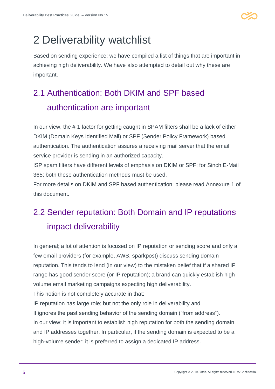

## <span id="page-5-0"></span>2 Deliverability watchlist

Based on sending experience; we have compiled a list of things that are important in achieving high deliverability. We have also attempted to detail out why these are important.

### <span id="page-5-1"></span>2.1 Authentication: Both DKIM and SPF based authentication are important

In our view, the # 1 factor for getting caught in SPAM filters shall be a lack of either DKIM (Domain Keys Identified Mail) or SPF (Sender Policy Framework) based authentication. The authentication assures a receiving mail server that the email service provider is sending in an authorized capacity.

ISP spam filters have different levels of emphasis on DKIM or SPF; for Sinch E-Mail 365; both these authentication methods must be used.

For more details on DKIM and SPF based authentication; please read Annexure 1 of this document.

### <span id="page-5-2"></span>2.2 Sender reputation: Both Domain and IP reputations impact deliverability

In general; a lot of attention is focused on IP reputation or sending score and only a few email providers (for example, AWS, sparkpost) discuss sending domain reputation. This tends to lend (in our view) to the mistaken belief that if a shared IP range has good sender score (or IP reputation); a brand can quickly establish high volume email marketing campaigns expecting high deliverability.

This notion is not completely accurate in that:

IP reputation has large role; but not the only role in deliverability and It ignores the past sending behavior of the sending domain ("from address"). In our view; it is important to establish high reputation for both the sending domain and IP addresses together. In particular, if the sending domain is expected to be a high-volume sender; it is preferred to assign a dedicated IP address.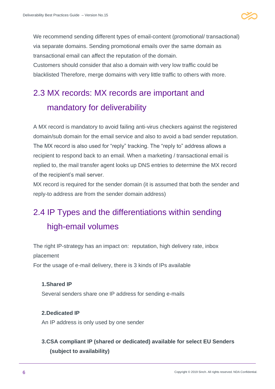

We recommend sending different types of email-content (promotional/ transactional) via separate domains. Sending promotional emails over the same domain as transactional email can affect the reputation of the domain. Customers should consider that also a domain with very low traffic could be blacklisted Therefore, merge domains with very little traffic to others with more.

### <span id="page-6-0"></span>2.3 MX records: MX records are important and mandatory for deliverability

A MX record is mandatory to avoid failing anti-virus checkers against the registered domain/sub domain for the email service and also to avoid a bad sender reputation. The MX record is also used for "reply" tracking. The "reply to" address allows a recipient to respond back to an email. When a marketing / transactional email is replied to, the mail transfer agent looks up DNS entries to determine the MX record of the recipient's mail server.

MX record is required for the sender domain (it is assumed that both the sender and reply-to address are from the sender domain address)

### <span id="page-6-1"></span>2.4 IP Types and the differentiations within sending high-email volumes

The right IP-strategy has an impact on: reputation, high delivery rate, inbox placement

For the usage of e-mail delivery, there is 3 kinds of IPs available

#### **1.Shared IP**

Several senders share one IP address for sending e-mails

#### **2.Dedicated IP**

An IP address is only used by one sender

#### **3.CSA compliant IP (shared or dedicated) available for select EU Senders (subject to availability)**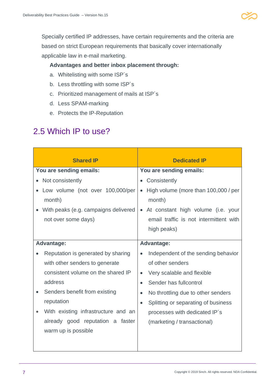

Specially certified IP addresses, have certain requirements and the criteria are based on strict European requirements that basically cover internationally applicable law in e-mail marketing.

#### **Advantages and better inbox placement through:**

- a. Whitelisting with some ISP´s
- b. Less throttling with some ISP´s
- c. Prioritized management of mails at ISP´s
- d. Less SPAM-marking
- e. Protects the IP-Reputation

#### <span id="page-7-0"></span>2.5 Which IP to use?

| <b>Shared IP</b>                     | <b>Dedicated IP</b>                              |  |  |
|--------------------------------------|--------------------------------------------------|--|--|
| You are sending emails:              | You are sending emails:                          |  |  |
| Not consistently                     | • Consistently                                   |  |  |
| Low volume (not over 100,000/per     | High volume (more than 100,000 / per             |  |  |
| month)                               | month)                                           |  |  |
| With peaks (e.g. campaigns delivered | • At constant high volume (i.e. your             |  |  |
| not over some days)                  | email traffic is not intermittent with           |  |  |
|                                      | high peaks)                                      |  |  |
| <b>Advantage:</b>                    | <b>Advantage:</b>                                |  |  |
|                                      |                                                  |  |  |
| Reputation is generated by sharing   | Independent of the sending behavior<br>$\bullet$ |  |  |
| with other senders to generate       | of other senders                                 |  |  |
| consistent volume on the shared IP   | Very scalable and flexible<br>$\bullet$          |  |  |
| address                              | Sender has fullcontrol<br>$\bullet$              |  |  |
| Senders benefit from existing        | No throttling due to other senders<br>$\bullet$  |  |  |
| reputation                           | Splitting or separating of business              |  |  |
| With existing infrastructure and an  | processes with dedicated IP's                    |  |  |
| already good reputation a faster     | (marketing / transactional)                      |  |  |
| warm up is possible                  |                                                  |  |  |
|                                      |                                                  |  |  |
|                                      |                                                  |  |  |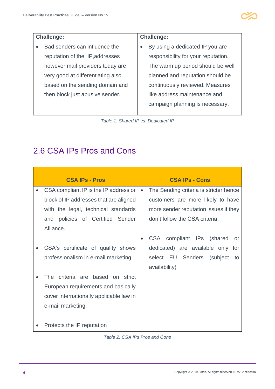

#### **Challenge:**

• Bad senders can influence the reputation of the IP,addresses however mail providers today are very good at differentiating also based on the sending domain and then block just abusive sender.

#### **Challenge:**

• By using a dedicated IP you are responsibility for your reputation. The warm up period should be well planned and reputation should be continuously reviewed. Measures like address maintenance and campaign planning is necessary.

*Table 1: Shared IP vs. Dedicated IP*

#### <span id="page-8-2"></span><span id="page-8-0"></span>2.6 CSA IPs Pros and Cons

|           | <b>CSA IPs - Pros</b>                   |           | <b>CSA IPs - Cons</b>                  |
|-----------|-----------------------------------------|-----------|----------------------------------------|
|           | CSA compliant IP is the IP address or   | $\bullet$ | The Sending criteria is stricter hence |
|           | block of IP addresses that are aligned  |           | customers are more likely to have      |
|           | with the legal, technical standards     |           | more sender reputation issues if they  |
|           | and policies of Certified Sender        |           | don't follow the CSA criteria.         |
|           | Alliance.                               |           |                                        |
|           |                                         |           | CSA compliant IPs (shared<br>or        |
|           | CSA's certificate of quality shows      |           | dedicated) are available only for      |
|           | professionalism in e-mail marketing.    |           | select EU Senders (subject<br>to       |
|           |                                         |           | availability)                          |
|           | The criteria are based on strict        |           |                                        |
|           | European requirements and basically     |           |                                        |
|           | cover internationally applicable law in |           |                                        |
|           | e-mail marketing.                       |           |                                        |
|           |                                         |           |                                        |
| $\bullet$ | Protects the IP reputation              |           |                                        |

<span id="page-8-1"></span>*Table 2: CSA IPs Pros and Cons*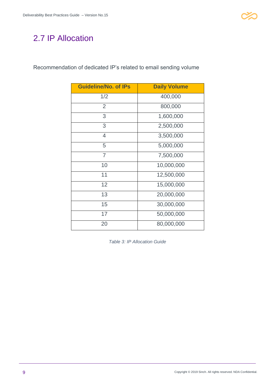### <span id="page-9-1"></span>2.7 IP Allocation

Recommendation of dedicated IP's related to email sending volume

| <b>Guideline/No. of IPs</b> | <b>Daily Volume</b> |
|-----------------------------|---------------------|
| 1/2                         | 400,000             |
| $\overline{2}$              | 800,000             |
| 3                           | 1,600,000           |
| 3                           | 2,500,000           |
| $\overline{4}$              | 3,500,000           |
| 5                           | 5,000,000           |
| $\overline{7}$              | 7,500,000           |
| 10                          | 10,000,000          |
| 11                          | 12,500,000          |
| 12                          | 15,000,000          |
| 13                          | 20,000,000          |
| 15                          | 30,000,000          |
| 17                          | 50,000,000          |
| 20                          | 80,000,000          |

<span id="page-9-0"></span>*Table 3: IP Allocation Guide*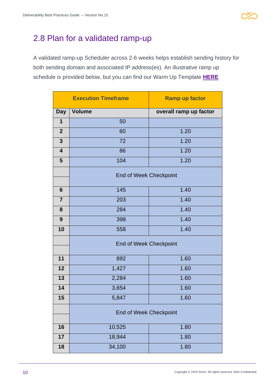

#### <span id="page-10-0"></span>2.8 Plan for a validated ramp-up

A validated ramp-up Scheduler across 2-6 weeks helps establish sending history for both sending domain and associated IP address(es). An illustrative ramp up schedule is provided below, but you can find our Warm Up Template **[HERE](https://community.sapdigitalinterconnect.com/t5/SAP-E-mail-365/SAP-E-Mail-365-IP-Warming-Template/m-p/2765)**

|                         | <b>Execution Timeframe</b>    | <b>Ramp up factor</b>  |  |
|-------------------------|-------------------------------|------------------------|--|
| <b>Day</b>              | <b>Volume</b>                 | overall ramp up factor |  |
| $\mathbf 1$             | 50                            |                        |  |
| $\overline{2}$          | 60                            | 1.20                   |  |
| $\mathbf{3}$            | 72                            | 1.20                   |  |
| $\overline{\mathbf{4}}$ | 86                            | 1.20                   |  |
| 5                       | 104                           | 1.20                   |  |
|                         | <b>End of Week Checkpoint</b> |                        |  |
| 6                       | 145                           | 1.40                   |  |
| $\overline{7}$          | 203                           | 1.40                   |  |
| 8                       | 284                           | 1.40                   |  |
| 9                       | 398                           | 1.40                   |  |
| 10                      | 558                           | 1.40                   |  |
|                         | <b>End of Week Checkpoint</b> |                        |  |
| 11                      | 892                           | 1.60                   |  |
| 12                      | 1,427                         | 1.60                   |  |
| 13                      | 2,284                         | 1.60                   |  |
| 14                      | 3,654                         | 1.60                   |  |
| 15                      | 5,847                         | 1.60                   |  |
|                         | <b>End of Week Checkpoint</b> |                        |  |
| 16                      | 10,525                        | 1.80                   |  |
| 17                      | 18,944                        | 1.80                   |  |
| 18                      | 34,100                        | 1.80                   |  |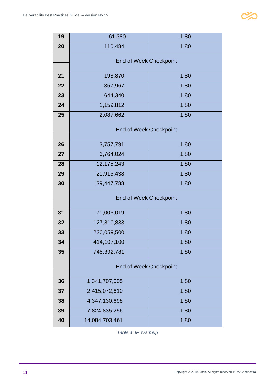| 19 | 61,380                        | 1.80 |  |
|----|-------------------------------|------|--|
| 20 | 110,484                       | 1.80 |  |
|    | <b>End of Week Checkpoint</b> |      |  |
|    |                               |      |  |
| 21 | 198,870                       | 1.80 |  |
| 22 | 357,967                       | 1.80 |  |
| 23 | 644,340                       | 1.80 |  |
| 24 | 1,159,812                     | 1.80 |  |
| 25 | 2,087,662                     | 1.80 |  |
|    | <b>End of Week Checkpoint</b> |      |  |
|    |                               |      |  |
| 26 | 3,757,791                     | 1.80 |  |
| 27 | 6,764,024                     | 1.80 |  |
| 28 | 12,175,243                    | 1.80 |  |
| 29 | 21,915,438                    | 1.80 |  |
| 30 | 39,447,788                    | 1.80 |  |
|    | <b>End of Week Checkpoint</b> |      |  |
|    |                               |      |  |
| 31 | 71,006,019                    | 1.80 |  |
| 32 | 127,810,833                   | 1.80 |  |
| 33 | 230,059,500                   | 1.80 |  |
| 34 | 414,107,100                   | 1.80 |  |
| 35 | 745,392,781                   | 1.80 |  |
|    | <b>End of Week Checkpoint</b> |      |  |
|    |                               |      |  |
| 36 | 1,341,707,005                 | 1.80 |  |
| 37 | 2,415,072,610                 | 1.80 |  |
| 38 | 4,347,130,698                 | 1.80 |  |
| 39 | 7,824,835,256                 | 1.80 |  |
| 40 | 14,084,703,461                | 1.80 |  |

<span id="page-11-0"></span>*Table 4: IP Warmup*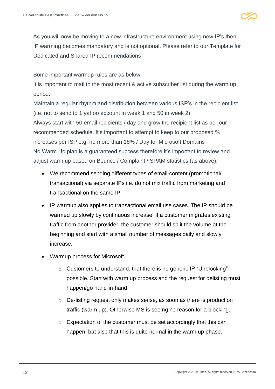

As you will now be moving to a new infrastructure environment using new IP's then IP warming becomes mandatory and is not optional. Please refer to our Template for Dedicated and Shared IP recommendations

Some important warmup rules are as below:

It is important to mail to the most recent & active subscriber list during the warm up period.

Maintain a regular rhythm and distribution between various ISP's in the recipient list (i.e. not to send to 1 yahoo account in week 1 and 50 in week 2).

Always start with 50 email recipients / day and grow the recipient list as per our recommended schedule. It's important to attempt to keep to our proposed % increases per ISP e.g. no more than 18% / Day for Microsoft Domains No Warm Up plan is a guaranteed success therefore it's important to review and adjust warm up based on Bounce / Complaint / SPAM statistics (as above).

- We recommend sending different types of email-content (promotional/ transactional) via separate IPs i.e. do not mix traffic from marketing and transactional on the same IP.
- IP warmup also applies to transactional email use cases. The IP should be warmed up slowly by continuous increase. If a customer migrates existing traffic from another provider, the customer should split the volume at the beginning and start with a small number of messages daily and slowly increase.
- Warmup process for Microsoft
	- o Customers to understand, that there is no generic IP "Unblocking" possible. Start with warm up process and the request for delisting must happen/go hand-in-hand.
	- o De-listing request only makes sense, as soon as there is production traffic (warm up). Otherwise MS is seeing no reason for a blocking.
	- o Expectation of the customer must be set accordingly that this can happen, but also that this is quite normal in the warm up phase.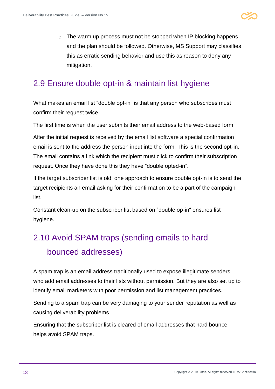

o The warm up process must not be stopped when IP blocking happens and the plan should be followed. Otherwise, MS Support may classifies this as erratic sending behavior and use this as reason to deny any mitigation.

### <span id="page-13-0"></span>2.9 Ensure double opt-in & maintain list hygiene

What makes an email list "double opt-in" is that any person who subscribes must confirm their request twice.

The first time is when the user submits their email address to the web-based form.

After the initial request is received by the email list software a special confirmation email is sent to the address the person input into the form. This is the second opt-in. The email contains a link which the recipient must click to confirm their subscription request. Once they have done this they have "double opted-in".

If the target subscriber list is old; one approach to ensure double opt-in is to send the target recipients an email asking for their confirmation to be a part of the campaign list.

Constant clean-up on the subscriber list based on "double op-in" ensures list hygiene.

### <span id="page-13-1"></span>2.10 Avoid SPAM traps (sending emails to hard bounced addresses)

A spam trap is an email address traditionally used to expose illegitimate senders who add email addresses to their lists without permission. But they are also set up to identify email marketers with poor permission and list management practices.

Sending to a spam trap can be very damaging to your sender reputation as well as causing deliverability problems

Ensuring that the subscriber list is cleared of email addresses that hard bounce helps avoid SPAM traps.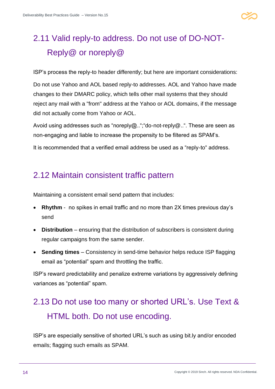

### <span id="page-14-0"></span>2.11 Valid reply-to address. Do not use of DO-NOT-Reply@ or noreply@

ISP's process the reply-to header differently; but here are important considerations:

Do not use Yahoo and AOL based reply-to addresses. AOL and Yahoo have made changes to their DMARC policy, which tells other mail systems that they should reject any mail with a "from" address at the Yahoo or AOL domains, if the message did not actually come from Yahoo or AOL.

Avoid using addresses such as "noreply@..";"do-not-reply@..". These are seen as non-engaging and liable to increase the propensity to be filtered as SPAM's.

It is recommended that a verified email address be used as a "reply-to" address.

#### <span id="page-14-1"></span>2.12 Maintain consistent traffic pattern

Maintaining a consistent email send pattern that includes:

- **Rhythm** no spikes in email traffic and no more than 2X times previous day's send
- **Distribution** ensuring that the distribution of subscribers is consistent during regular campaigns from the same sender.
- **Sending times** Consistency in send-time behavior helps reduce ISP flagging email as "potential" spam and throttling the traffic.

ISP's reward predictability and penalize extreme variations by aggressively defining variances as "potential" spam.

### <span id="page-14-2"></span>2.13 Do not use too many or shorted URL's. Use Text & HTML both. Do not use encoding.

ISP's are especially sensitive of shorted URL's such as using bit.ly and/or encoded emails; flagging such emails as SPAM.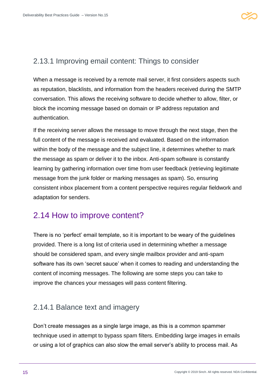#### <span id="page-15-0"></span>2.13.1 Improving email content: Things to consider

When a message is received by a remote mail server, it first considers aspects such as reputation, blacklists, and information from the headers received during the SMTP conversation. This allows the receiving software to decide whether to allow, filter, or block the incoming message based on domain or IP address reputation and authentication.

If the receiving server allows the message to move through the next stage, then the full content of the message is received and evaluated. Based on the information within the body of the message and the subject line, it determines whether to mark the message as spam or deliver it to the inbox. Anti-spam software is constantly learning by gathering information over time from user feedback (retrieving legitimate message from the junk folder or marking messages as spam). So, ensuring consistent inbox placement from a content perspective requires regular fieldwork and adaptation for senders.

#### <span id="page-15-1"></span>2.14 How to improve content?

There is no 'perfect' email template, so it is important to be weary of the guidelines provided. There is a long list of criteria used in determining whether a message should be considered spam, and every single mailbox provider and anti-spam software has its own 'secret sauce' when it comes to reading and understanding the content of incoming messages. The following are some steps you can take to improve the chances your messages will pass content filtering.

#### <span id="page-15-2"></span>2.14.1 Balance text and imagery

Don't create messages as a single large image, as this is a common spammer technique used in attempt to bypass spam filters. Embedding large images in emails or using a lot of graphics can also slow the email server's ability to process mail. As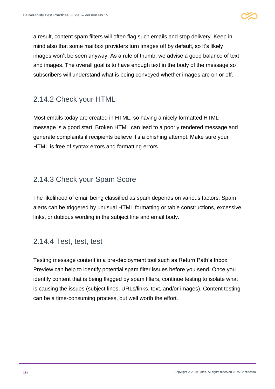

a result, content spam filters will often flag such emails and stop delivery. Keep in mind also that some mailbox providers turn images off by default, so it's likely images won't be seen anyway. As a rule of thumb, we advise a good balance of text and images. The overall goal is to have enough text in the body of the message so subscribers will understand what is being conveyed whether images are on or off.

#### <span id="page-16-0"></span>2.14.2 Check your HTML

Most emails today are created in HTML, so having a nicely formatted HTML message is a good start. Broken HTML can lead to a poorly rendered message and generate complaints if recipients believe it's a phishing attempt. Make sure your HTML is free of syntax errors and formatting errors.

#### <span id="page-16-1"></span>2.14.3 Check your Spam Score

The likelihood of email being classified as spam depends on various factors. Spam alerts can be triggered by unusual HTML formatting or table constructions, excessive links, or dubious wording in the subject line and email body.

#### <span id="page-16-2"></span>2.14.4 Test, test, test

Testing message content in a pre-deployment tool such as Return Path's Inbox Preview can help to identify potential spam filter issues before you send. Once you identify content that is being flagged by spam filters, continue testing to isolate what is causing the issues (subject lines, URLs/links, text, and/or images). Content testing can be a time-consuming process, but well worth the effort.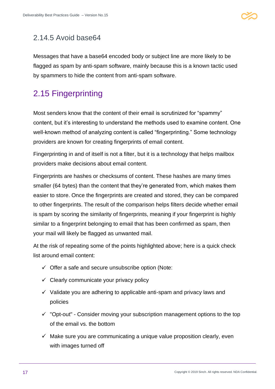

#### <span id="page-17-0"></span>2.14.5 Avoid base64

Messages that have a base64 encoded body or subject line are more likely to be flagged as spam by anti-spam software, mainly because this is a known tactic used by spammers to hide the content from anti-spam software.

### <span id="page-17-1"></span>2.15 Fingerprinting

Most senders know that the content of their email is scrutinized for "spammy" content, but it's interesting to understand the methods used to examine content. One well-known method of analyzing content is called "fingerprinting." Some technology providers are known for creating fingerprints of email content.

Fingerprinting in and of itself is not a filter, but it is a technology that helps mailbox providers make decisions about email content.

Fingerprints are hashes or checksums of content. These hashes are many times smaller (64 bytes) than the content that they're generated from, which makes them easier to store. Once the fingerprints are created and stored, they can be compared to other fingerprints. The result of the comparison helps filters decide whether email is spam by scoring the similarity of fingerprints, meaning if your fingerprint is highly similar to a fingerprint belonging to email that has been confirmed as spam, then your mail will likely be flagged as unwanted mail.

At the risk of repeating some of the points highlighted above; here is a quick check list around email content:

- $\checkmark$  Offer a safe and secure unsubscribe option (Note:
- $\checkmark$  Clearly communicate your privacy policy
- $\checkmark$  Validate you are adhering to applicable anti-spam and privacy laws and policies
- $\checkmark$  "Opt-out" Consider moving your subscription management options to the top of the email vs. the bottom
- $\checkmark$  Make sure you are communicating a unique value proposition clearly, even with images turned off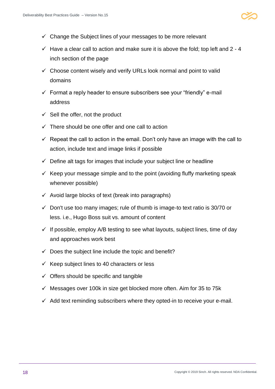

- $\checkmark$  Change the Subject lines of your messages to be more relevant
- $\checkmark$  Have a clear call to action and make sure it is above the fold; top left and 2 4 inch section of the page
- $\checkmark$  Choose content wisely and verify URLs look normal and point to valid domains
- $\checkmark$  Format a reply header to ensure subscribers see your "friendly" e-mail address
- $\checkmark$  Sell the offer, not the product
- $\checkmark$  There should be one offer and one call to action
- $\checkmark$  Repeat the call to action in the email. Don't only have an image with the call to action, include text and image links if possible
- $\checkmark$  Define alt tags for images that include your subject line or headline
- $\checkmark$  Keep your message simple and to the point (avoiding fluffy marketing speak whenever possible)
- $\checkmark$  Avoid large blocks of text (break into paragraphs)
- $\checkmark$  Don't use too many images; rule of thumb is image-to text ratio is 30/70 or less. i.e., Hugo Boss suit vs. amount of content
- $\checkmark$  If possible, employ A/B testing to see what layouts, subject lines, time of day and approaches work best
- $\checkmark$  Does the subject line include the topic and benefit?
- $\checkmark$  Keep subject lines to 40 characters or less
- $\checkmark$  Offers should be specific and tangible
- $\checkmark$  Messages over 100k in size get blocked more often. Aim for 35 to 75k
- $\checkmark$  Add text reminding subscribers where they opted-in to receive your e-mail.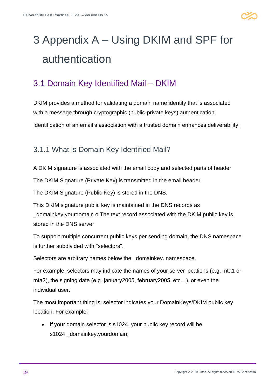

# <span id="page-19-0"></span>3 Appendix A – Using DKIM and SPF for authentication

### <span id="page-19-1"></span>3.1 Domain Key Identified Mail – DKIM

DKIM provides a method for validating a domain name identity that is associated with a message through cryptographic (public-private keys) authentication. Identification of an email's association with a trusted domain enhances deliverability.

#### <span id="page-19-2"></span>3.1.1 What is Domain Key Identified Mail?

A DKIM signature is associated with the email body and selected parts of header

The DKIM Signature (Private Key) is transmitted in the email header.

The DKIM Signature (Public Key) is stored in the DNS.

This DKIM signature public key is maintained in the DNS records as \_domainkey.yourdomain o The text record associated with the DKIM public key is stored in the DNS server

To support multiple concurrent public keys per sending domain, the DNS namespace is further subdivided with "selectors".

Selectors are arbitrary names below the domainkey. namespace.

For example, selectors may indicate the names of your server locations (e.g. mta1 or mta2), the signing date (e.g. january2005, february2005, etc…), or even the individual user.

The most important thing is: selector indicates your DomainKeys/DKIM public key location. For example:

• if your domain selector is s1024, your public key record will be s1024.\_domainkey.yourdomain;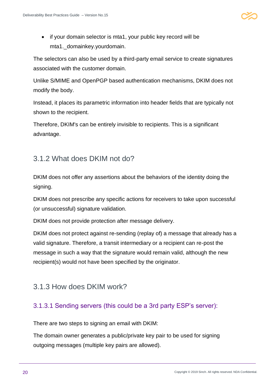

• if your domain selector is mta1, your public key record will be mta1.\_domainkey.yourdomain.

The selectors can also be used by a third-party email service to create signatures associated with the customer domain.

Unlike S/MIME and OpenPGP based authentication mechanisms, DKIM does not modify the body.

Instead, it places its parametric information into header fields that are typically not shown to the recipient.

Therefore, DKIM's can be entirely invisible to recipients. This is a significant advantage.

#### <span id="page-20-0"></span>3.1.2 What does DKIM not do?

DKIM does not offer any assertions about the behaviors of the identity doing the signing.

DKIM does not prescribe any specific actions for receivers to take upon successful (or unsuccessful) signature validation.

DKIM does not provide protection after message delivery.

DKIM does not protect against re-sending (replay of) a message that already has a valid signature. Therefore, a transit intermediary or a recipient can re-post the message in such a way that the signature would remain valid, although the new recipient(s) would not have been specified by the originator.

#### <span id="page-20-1"></span>3.1.3 How does DKIM work?

#### <span id="page-20-2"></span>3.1.3.1 Sending servers (this could be a 3rd party ESP's server):

There are two steps to signing an email with DKIM:

The domain owner generates a public/private key pair to be used for signing outgoing messages (multiple key pairs are allowed).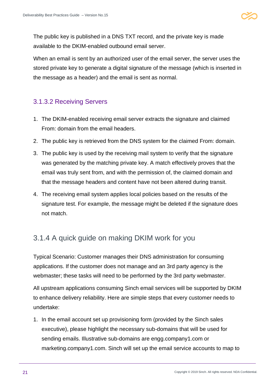The public key is published in a DNS TXT record, and the private key is made available to the DKIM-enabled outbound email server.

When an email is sent by an authorized user of the email server, the server uses the stored private key to generate a digital signature of the message (which is inserted in the message as a header) and the email is sent as normal.

#### <span id="page-21-0"></span>3.1.3.2 Receiving Servers

- 1. The DKIM-enabled receiving email server extracts the signature and claimed From: domain from the email headers.
- 2. The public key is retrieved from the DNS system for the claimed From: domain.
- 3. The public key is used by the receiving mail system to verify that the signature was generated by the matching private key. A match effectively proves that the email was truly sent from, and with the permission of, the claimed domain and that the message headers and content have not been altered during transit.
- 4. The receiving email system applies local policies based on the results of the signature test. For example, the message might be deleted if the signature does not match.

#### <span id="page-21-1"></span>3.1.4 A quick guide on making DKIM work for you

Typical Scenario: Customer manages their DNS administration for consuming applications. If the customer does not manage and an 3rd party agency is the webmaster; these tasks will need to be performed by the 3rd party webmaster.

All upstream applications consuming Sinch email services will be supported by DKIM to enhance delivery reliability. Here are simple steps that every customer needs to undertake:

1. In the email account set up provisioning form (provided by the Sinch sales executive), please highlight the necessary sub-domains that will be used for sending emails. Illustrative sub-domains are engg.company1.com or marketing.company1.com. Sinch will set up the email service accounts to map to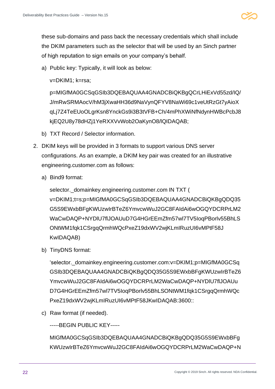

these sub-domains and pass back the necessary credentials which shall include the DKIM parameters such as the selector that will be used by an Sinch partner of high reputation to sign emails on your company's behalf.

a) Public key: Typically, it will look as below:

v=DKIM1; k=rsa;

p=MIGfMA0GCSqGSIb3DQEBAQUAA4GNADCBiQKBgQCrLHiExVd55zd/IQ/ J/mRwSRMAocV/hM3jXwaHH36d9NaVynQFYV8NaWi69c1veUtRzGt7yAioX qLj7Z4TeEUoOLgrKsn8YnckGs9i3B3tVFB+Ch/4mPhXWiNfNdynHWBcPcbJ8 kjEQ2U8y78dHZj1YeRXXVvWob2OaKynO8/lQIDAQAB;

- b) TXT Record / Selector information.
- 2. DKIM keys will be provided in 3 formats to support various DNS server configurations. As an example, a DKIM key pair was created for an illustrative engineering.customer.com as follows:
	- a) Bind9 format:

selector.\_domainkey.engineering.customer.com IN TXT ( v=DKIM1;t=s;p=MIGfMA0GCSqGSIb3DQEBAQUAA4GNADCBiQKBgQDQ35 G5S9EWxbBFgKWUzwIrBTeZ6YmvcwWuJ2GC8FAIdAi6wOGQYDCRPrLM2 WaCwDAQP+NYDlU7flJOAUuD7G4HGrEEmZfm57wl7TV5IoqPBorlv55BhLS ONtWM1fqk1CSrgqQrmhWQcPxeZ19dxWV2wjKLmIRuzUI6vMPtF58J KwIDAQAB)

b) TinyDNS format:

'selector.\_domainkey.engineering.customer.com:v=DKIM1;p=MIGfMA0GCSq GSIb3DQEBAQUAA4GNADCBiQKBgQDQ35G5S9EWxbBFgKWUzwIrBTeZ6 YmvcwWuJ2GC8FAIdAi6wOGQYDCRPrLM2WaCwDAQP+NYDlU7flJOAUu D7G4HGrEEmZfm57wl7TV5IoqPBorlv55BhLSONtWM1fqk1CSrgqQrmhWQc PxeZ19dxWV2wjKLmIRuzUI6vMPtF58JKwIDAQAB:3600::

c) Raw format (if needed).

-----BEGIN PUBLIC KEY-----

MIGfMA0GCSqGSIb3DQEBAQUAA4GNADCBiQKBgQDQ35G5S9EWxbBFg KWUzwIrBTeZ6YmvcwWuJ2GC8FAIdAi6wOGQYDCRPrLM2WaCwDAQP+N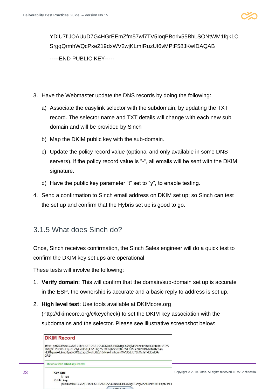

YDlU7flJOAUuD7G4HGrEEmZfm57wl7TV5IoqPBorlv55BhLSONtWM1fqk1C SrgqQrmhWQcPxeZ19dxWV2wjKLmIRuzUI6vMPtF58JKwIDAQAB -----END PUBLIC KEY-----

- 3. Have the Webmaster update the DNS records by doing the following:
	- a) Associate the easylink selector with the subdomain, by updating the TXT record. The selector name and TXT details will change with each new sub domain and will be provided by Sinch
	- b) Map the DKIM public key with the sub-domain.
	- c) Update the policy record value (optional and only available in some DNS servers). If the policy record value is "-", all emails will be sent with the DKIM signature.
	- d) Have the public key parameter "t" set to "y", to enable testing.
- 4. Send a confirmation to Sinch email address on DKIM set up; so Sinch can test the set up and confirm that the Hybris set up is good to go.

#### <span id="page-23-0"></span>3.1.5 What does Sinch do?

Once, Sinch receives confirmation, the Sinch Sales engineer will do a quick test to confirm the DKIM key set ups are operational.

These tests will involve the following:

- 1. **Verify domain:** This will confirm that the domain/sub-domain set up is accurate in the ESP, the ownership is accurate and a basic reply to address is set up.
- 2. **High level test:** Use tools available at DKIMcore.org (http://dkimcore.org/c/keycheck) to set the DKIM key association with the subdomains and the selector. Please see illustrative screenshot below:

|    | <b>DKIM Record</b>                                                                                                                                                                                                                             |                                                                |
|----|------------------------------------------------------------------------------------------------------------------------------------------------------------------------------------------------------------------------------------------------|----------------------------------------------------------------|
|    | k=rsa; p=MIGfMA0GCSqGSlb3DQEBAQUAA4GNADCBiQKBqQCfvqMo245lekN+eHQipbDcEzEzA<br>YtWg3/OAvp66FLqRnF29yG/rUddTjFhA+KgZ5F3kXqK/ksX3N+oVFh150zZRc9HNxbJNdTeb/m<br>+EKMpwjiejL9mb8yuJo36QqEsqz5NohU8jBj10vNhkdnsjhLumO/VJQ/LiU78kOvJsT+EEwIDA<br>QAB: |                                                                |
|    | This is a valid DKIM key record                                                                                                                                                                                                                |                                                                |
| 23 | <b>Key type</b><br>$k = rsa$<br><b>Public key</b><br>p=MIGfMA0GCSqGSlb3DQEBAQUAA4GNADCBiQKBqQCfvqMo245lekN+eHQipbDcE;                                                                                                                          | Copyright © 2019 Sinch. All rights reserved. NDA Confidential. |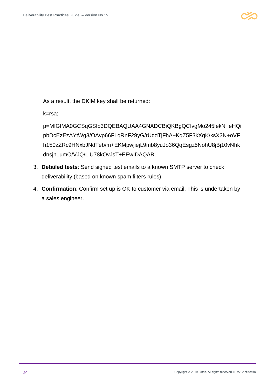

As a result, the DKIM key shall be returned:

k=rsa;

p=MIGfMA0GCSqGSIb3DQEBAQUAA4GNADCBiQKBgQCfvgMo245lekN+eHQi pbDcEzEzAYtWg3/OAvp66FLqRnF29yG/rUddTjFhA+KgZ5F3kXqK/ksX3N+oVF h150zZRc9HNxbJNdTeb/m+EKMpwjiejL9mb8yuJo36QqEsgz5NohU8jBj10vNhk dnsjhLumO/VJQ/LiU78kOvJsT+EEwIDAQAB;

- 3. **Detailed tests**: Send signed test emails to a known SMTP server to check deliverability (based on known spam filters rules).
- 4. **Confirmation**: Confirm set up is OK to customer via email. This is undertaken by a sales engineer.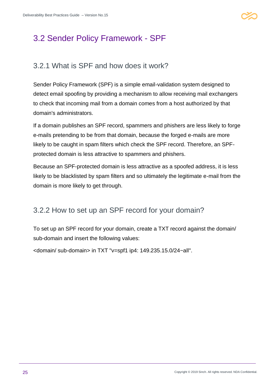

#### <span id="page-25-0"></span>3.2 Sender Policy Framework - SPF

#### <span id="page-25-1"></span>3.2.1 What is SPF and how does it work?

Sender Policy Framework (SPF) is a simple email-validation system designed to detect email spoofing by providing a mechanism to allow receiving mail exchangers to check that incoming mail from a domain comes from a host authorized by that domain's administrators.

If a domain publishes an SPF record, spammers and phishers are less likely to forge e-mails pretending to be from that domain, because the forged e-mails are more likely to be caught in spam filters which check the SPF record. Therefore, an SPFprotected domain is less attractive to spammers and phishers.

Because an SPF-protected domain is less attractive as a spoofed address, it is less likely to be blacklisted by spam filters and so ultimately the legitimate e-mail from the domain is more likely to get through.

#### <span id="page-25-2"></span>3.2.2 How to set up an SPF record for your domain?

To set up an SPF record for your domain, create a TXT record against the domain/ sub-domain and insert the following values:

<domain/ sub-domain> in TXT "v=spf1 ip4: 149.235.15.0/24~all".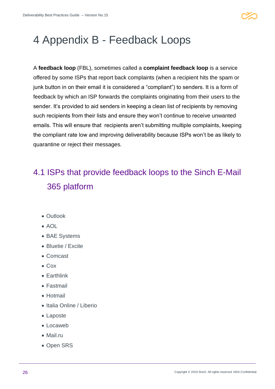

## <span id="page-26-0"></span>4 Appendix B - Feedback Loops

A **feedback loop** (FBL), sometimes called a **complaint feedback loop** is a service offered by some ISPs that report back complaints (when a recipient hits the spam or junk button in on their email it is considered a "compliant") to senders. It is a form of feedback by which an ISP forwards the complaints originating from their users to the sender. It's provided to aid senders in keeping a clean list of recipients by removing such recipients from their lists and ensure they won't continue to receive unwanted emails. This will ensure that recipients aren't submitting multiple complaints, keeping the compliant rate low and improving deliverability because ISPs won't be as likely to quarantine or reject their messages.

### <span id="page-26-1"></span>4.1 ISPs that provide feedback loops to the Sinch E-Mail 365 platform

- Outlook
- $\bullet$  AOL
- BAE Systems
- Bluetie / Excite
- Comcast
- Cox
- Earthlink
- Fastmail
- Hotmail
- Italia Online / Liberio
- Laposte
- Locaweb
- Mail.ru
- Open SRS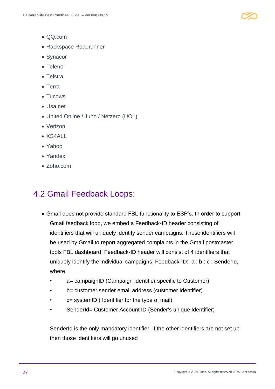

- QQ.com
- Rackspace Roadrunner
- Synacor
- Telenor
- Telstra
- Terra
- Tucows
- Usa.net
- United Online / Juno / Netzero (UOL)
- Verizon
- $\bullet$  XS4ALL
- Yahoo
- Yandex
- Zoho.com

#### <span id="page-27-0"></span>4.2 Gmail Feedback Loops:

- Gmail does not provide standard FBL functionality to ESP's. In order to support Gmail feedback loop, we embed a Feedback-ID header consisting of identifiers that will uniquely identify sender campaigns. These identifiers will be used by Gmail to report aggregated complaints in the Gmail postmaster tools FBL dashboard. Feedback-ID header will consist of 4 identifiers that uniquely identify the individual campaigns, Feedback-ID: a : b : c : SenderId, where
	- a= campaignID (Campaign Identifier specific to Customer)
	- b= customer sender email address (customer Identifier)
	- $c =$  systemID (Identifier for the type of mail)
	- SenderId= Customer Account ID (Sender's unique Identifier)

SenderId is the only mandatory identifier. If the other identifiers are not set up then those identifiers will go unused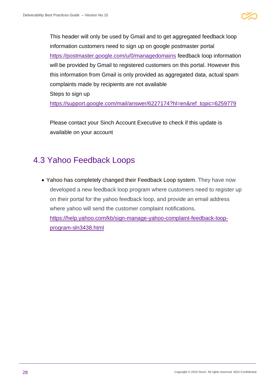

This header will only be used by Gmail and to get aggregated feedback loop information customers need to sign up on google postmaster portal <https://postmaster.google.com/u/0/managedomains> feedback loop information will be provided by Gmail to registered customers on this portal. However this this information from Gmail is only provided as aggregated data, actual spam complaints made by recipients are not available

Steps to sign up

[https://support.google.com/mail/answer/6227174?hl=en&ref\\_topic=6259779](https://support.google.com/mail/answer/6227174?hl=en&ref_topic=6259779)

Please contact your Sinch Account Executive to check if this update is available on your account

#### <span id="page-28-0"></span>4.3 Yahoo Feedback Loops

• Yahoo has completely changed their Feedback Loop system. They have now developed a new feedback loop program where customers need to register up on their portal for the yahoo feedback loop, and provide an email address where yahoo will send the customer complaint notifications. [https://help.yahoo.com/kb/sign-manage-yahoo-complaint-feedback-loop](https://help.yahoo.com/kb/sign-manage-yahoo-complaint-feedback-loop-program-sln3438.html)[program-sln3438.html](https://help.yahoo.com/kb/sign-manage-yahoo-complaint-feedback-loop-program-sln3438.html)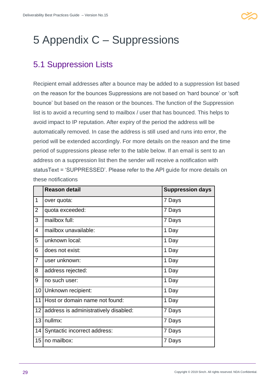

## <span id="page-29-0"></span>5 Appendix C – Suppressions

### <span id="page-29-1"></span>5.1 Suppression Lists

Recipient email addresses after a bounce may be added to a suppression list based on the reason for the bounces Suppressions are not based on 'hard bounce' or 'soft bounce' but based on the reason or the bounces. The function of the Suppression list is to avoid a recurring send to mailbox / user that has bounced. This helps to avoid impact to IP reputation. After expiry of the period the address will be automatically removed. In case the address is still used and runs into error, the period will be extended accordingly. For more details on the reason and the time period of suppressions please refer to the table below. If an email is sent to an address on a suppression list then the sender will receive a notification with statusText = 'SUPPRESSED'. Please refer to the API guide for more details on these notifications

|                 | <b>Reason detail</b>                  | <b>Suppression days</b> |
|-----------------|---------------------------------------|-------------------------|
| 1               | over quota:                           | 7 Days                  |
| $\overline{2}$  | quota exceeded:                       | 7 Days                  |
| 3               | mailbox full:                         | 7 Days                  |
| 4               | mailbox unavailable:                  | 1 Day                   |
| 5               | unknown local:                        | 1 Day                   |
| 6               | does not exist:                       | 1 Day                   |
| $\overline{7}$  | user unknown:                         | 1 Day                   |
| 8               | address rejected:                     | 1 Day                   |
| 9               | no such user:                         | 1 Day                   |
| 10 <sup>°</sup> | Unknown recipient:                    | 1 Day                   |
| 11              | Host or domain name not found:        | 1 Day                   |
| 12 <sub>2</sub> | address is administratively disabled: | 7 Days                  |
| 13              | nullmx:                               | 7 Days                  |
| 14              | Syntactic incorrect address:          | 7 Days                  |
| 15 <sub>1</sub> | no mailbox:                           | 7 Days                  |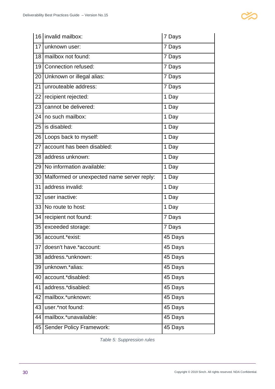|    | 16 invalid mailbox:                        | 7 Days  |
|----|--------------------------------------------|---------|
| 17 | unknown user:                              | 7 Days  |
| 18 | mailbox not found:                         | 7 Days  |
| 19 | Connection refused:                        | 7 Days  |
| 20 | Unknown or illegal alias:                  | 7 Days  |
| 21 | unrouteable address:                       | 7 Days  |
| 22 | recipient rejected:                        | 1 Day   |
| 23 | cannot be delivered:                       | 1 Day   |
| 24 | no such mailbox:                           | 1 Day   |
| 25 | is disabled:                               | 1 Day   |
| 26 | Loops back to myself:                      | 1 Day   |
| 27 | account has been disabled:                 | 1 Day   |
| 28 | address unknown:                           | 1 Day   |
| 29 | No information available:                  | 1 Day   |
| 30 | Malformed or unexpected name server reply: | 1 Day   |
| 31 | address invalid:                           | 1 Day   |
| 32 | user inactive:                             | 1 Day   |
| 33 | No route to host:                          | 1 Day   |
| 34 | recipient not found:                       | 7 Days  |
| 35 | exceeded storage:                          | 7 Days  |
|    | 36 account.*exist:                         | 45 Days |
| 37 | doesn't have.*account:                     | 45 Days |
| 38 | address.*unknown:                          | 45 Days |
| 39 | unknown.*alias:                            | 45 Days |
| 40 | account.*disabled:                         | 45 Days |
| 41 | address.*disabled:                         | 45 Days |
| 42 | mailbox.*unknown:                          | 45 Days |
| 43 | user.*not found:                           | 45 Days |
| 44 | mailbox.*unavailable:                      | 45 Days |
| 45 | <b>Sender Policy Framework:</b>            | 45 Days |

<span id="page-30-0"></span>*Table 5: Suppression rules*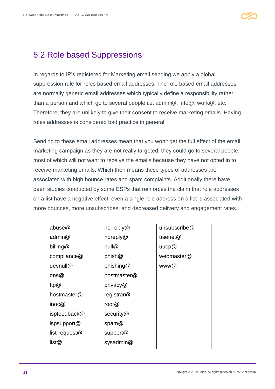### <span id="page-31-0"></span>5.2 Role based Suppressions

In regards to IP's registered for Marketing email sending we apply a global suppression rule for roles based email addresses. The role based email addresses are normally generic email addresses which typically define a responsibility rather than a person and which go to several people i.e. admin@, info@, work@, etc. Therefore, they are unlikely to give their consent to receive marketing emails. Having roles addresses is considered bad practice in general

Sending to these email addresses mean that you won't get the full effect of the email marketing campaign as they are not really targeted, they could go to several people, most of which will not want to receive the emails because they have not opted in to receive marketing emails. Which then means these types of addresses are associated with high bounce rates and spam complaints. Additionally there have been studies conducted by some ESPs that reinforces the claim that role addresses on a list have a negative effect: even a single role address on a list is associated with more bounces, more unsubscribes, and decreased delivery and engagement rates.

| abuse@        | no-reply $@$  | unsubscribe@ |
|---------------|---------------|--------------|
| admin@        | noreply $@$   | usenet $@$   |
| billing@      | null@         | uucp@        |
| compliance@   | phish@        | webmaster@   |
| devnull@      | phishing@     | www@         |
| $\text{dns@}$ | postmaster@   |              |
| ftp $@$       | privacy@      |              |
| hostmaster@   | registrar $@$ |              |
| inoc@         | root $@$      |              |
| ispfeedback@  | security@     |              |
| ispsupport@   | spam@         |              |
| list-request@ | support@      |              |
| list@         | sysadmin@     |              |
|               |               |              |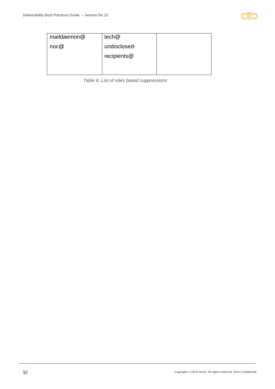

<span id="page-32-0"></span>

| maildaemon@ | tech@        |  |
|-------------|--------------|--|
| noc@        | undisclosed- |  |
|             | recipients@  |  |
|             |              |  |

*Table 6: List of roles based suppressions*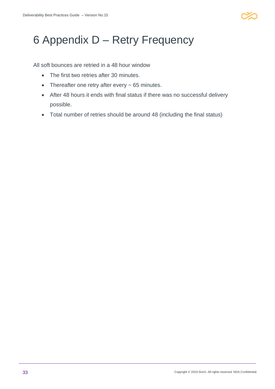

## <span id="page-33-0"></span>6 Appendix D – Retry Frequency

All soft bounces are retried in a 48 hour window

- The first two retries after 30 minutes.
- Thereafter one retry after every ~ 65 minutes.
- After 48 hours it ends with final status if there was no successful delivery possible.
- Total number of retries should be around 48 (including the final status)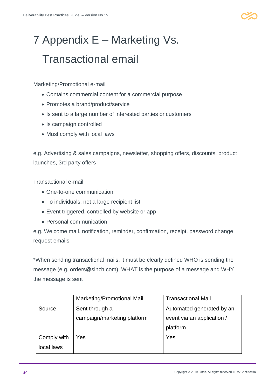

# <span id="page-34-0"></span>7 Appendix E – Marketing Vs. Transactional email

Marketing/Promotional e-mail

- Contains commercial content for a commercial purpose
- Promotes a brand/product/service
- Is sent to a large number of interested parties or customers
- Is campaign controlled
- Must comply with local laws

e.g. Advertising & sales campaigns, newsletter, shopping offers, discounts, product launches, 3rd party offers

Transactional e-mail

- One-to-one communication
- To individuals, not a large recipient list
- Event triggered, controlled by website or app
- Personal communication

e.g. Welcome mail, notification, reminder, confirmation, receipt, password change, request emails

\*When sending transactional mails, it must be clearly defined WHO is sending the message (e.g. orders@sinch.com). WHAT is the purpose of a message and WHY the message is sent

|             | Marketing/Promotional Mail  | <b>Transactional Mail</b>  |
|-------------|-----------------------------|----------------------------|
| Source      | Sent through a              | Automated generated by an  |
|             | campaign/marketing platform | event via an application / |
|             |                             | platform                   |
| Comply with | Yes                         | Yes                        |
| local laws  |                             |                            |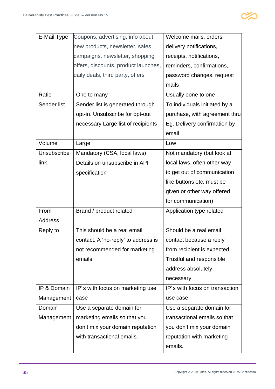

| E-Mail Type    | Coupons, advertising, info about     | Welcome mails, orders,         |
|----------------|--------------------------------------|--------------------------------|
|                | new products, newsletter, sales      | delivery notifications,        |
|                | campaigns, newsletter, shopping      | receipts, notifications,       |
|                | offers, discounts, product launches, | reminders, confirmations,      |
|                | daily deals, third party, offers     | password changes, request      |
|                |                                      | mails                          |
| Ratio          | One to many                          | Usually oone to one            |
| Sender list    | Sender list is generated through     | To individuals initiated by a  |
|                | opt-in. Unsubscribe for opt-out      | purchase, with agreement thru  |
|                | necessary Large list of recipients   | Eg. Delivery confirmation by   |
|                |                                      | email                          |
| Volume         | Large                                | Low                            |
| Unsubscribe    | Mandatory (CSA, local laws)          | Not mandatory (but look at     |
| link           | Details on unsubscribe in API        | local laws, often other way    |
|                | specification                        | to get out of communication    |
|                |                                      | like buttons etc. must be      |
|                |                                      | given or other way offered     |
|                |                                      | for communication)             |
| From           | Brand / product related              | Application type related       |
| <b>Address</b> |                                      |                                |
| Reply to       | This should be a real email          | Should be a real email         |
|                | contact. A 'no-reply' to address is  | contact because a reply        |
|                | not recommended for marketing        | from recipient is expected.    |
|                | emails                               | Trustful and responsible       |
|                |                                      | address absolutely             |
|                |                                      | necessary                      |
| IP & Domain    | IP's with focus on marketing use     | IP's with focus on transaction |
| Management     | case                                 | use case                       |
| Domain         | Use a separate domain for            | Use a separate domain for      |
| Management     | marketing emails so that you         | transactional emails so that   |
|                | don't mix your domain reputation     | you don't mix your domain      |
|                | with transactional emails.           | reputation with marketing      |
|                |                                      | emails.                        |
|                |                                      |                                |